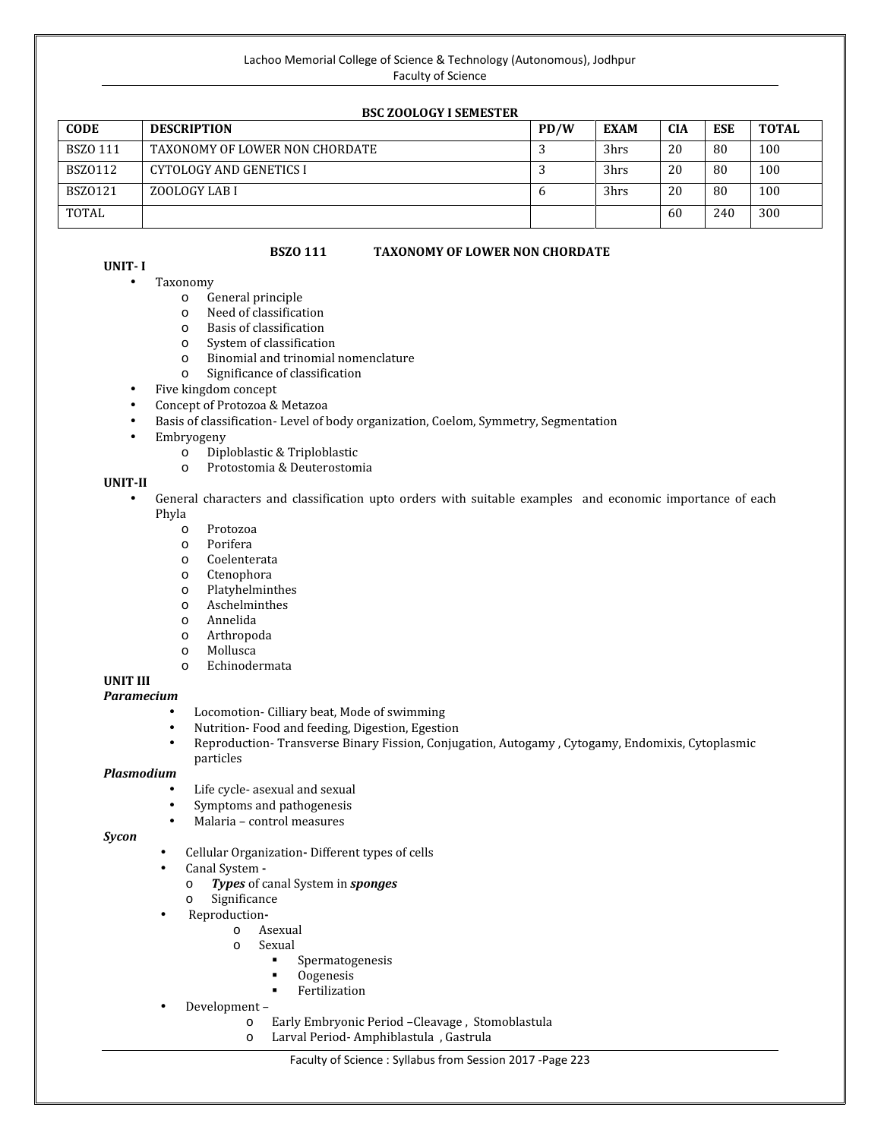### **BSC ZOOLOGY I SEMESTER**

| --------------------- |                                |      |             |            |            |              |
|-----------------------|--------------------------------|------|-------------|------------|------------|--------------|
| <b>CODE</b>           | <b>DESCRIPTION</b>             | PD/W | <b>EXAM</b> | <b>CIA</b> | <b>ESE</b> | <b>TOTAL</b> |
| <b>BSZO 111</b>       | TAXONOMY OF LOWER NON CHORDATE |      | 3hrs        | 20         | 80         | 100          |
| BSZ0112               | CYTOLOGY AND GENETICS I        |      | 3hrs        | 20         | 80         | 100          |
| <b>BSZ0121</b>        | ZOOLOGY LAB I                  | n    | 3hrs        | 20         | 80         | 100          |
| TOTAL                 |                                |      |             | 60         | 240        | 300          |

### **BSZO 111 TAXONOMY OF LOWER NON CHORDATE**

# **UNIT- I**

- -
	-
	-
	-
- Taxonomy<br>
 General principle<br>
 Need of classification<br>
 Basis of classification<br>
 System of classification<br>
 Binomial and trinomial nomenclature<br>
 Significance of classification
	-
- 
- Five kingdom concept Concept of Protozoa & Metazoa
- Basis of classification- Level of body organization, Coelom, Symmetry, Segmentation
- - o Diploblastic & Triploblastic o Protostomia & Deuterostomia
	-

# **UNIT-II**

- General characters and classification upto orders with suitable examples and economic importance of each Phyla<br>
o Porifera<br>
o Coelenterata<br>
o Ctenophora<br>
o Platyhelminthes<br>
o Aschelminthes<br>
o Annelida<br>
o Arthropoda<br>
o Mollusca<br>
o Echinodermata<br>
o Echinodermata
	-
	-
	-
	-
	-
	-
	-
	-
	-
	-

# **UNIT III**

# *Paramecium*

- $\bar{N}$  Locomotion- Cilliary beat, Mode of swimming  $\bar{N}$  Nutrition-Food and feeding, Digestion, Egestic
- 
- $N$  Nutrition- Food and feeding, Digestion, Egestion<br> $N$  Reproduction- Transverse Binary Fission, Conjug Reproduction- Transverse Binary Fission, Conjugation, Autogamy , Cytogamy, Endomixis, Cytoplasmic particles

#### *Plasmodium*

- 
- Life cycle- asexual and sexual Symptoms and pathogenesis Malaria control measures *Sycon*
	-

- $\tilde{N}$  Cellular Organization- Different types of cells  $\tilde{N}$  Canal System -
- 
- o *Types* of canal System in *sponges*<br>  $\circ$  **Significance**<br>  $\tilde{N}$  **Reproduction-**
	-
- - -
- N Reproduction-<br>
o Asexual<br> **s** Spermatogenesis<br> **e** Oogenesis<br> **e** Fertilization
	-
	-
- 
- Development <sup>o</sup> Early Embryonic Period –Cleavage , Stomoblastula <sup>o</sup> Larval Period- Amphiblastula , Gastrula
	-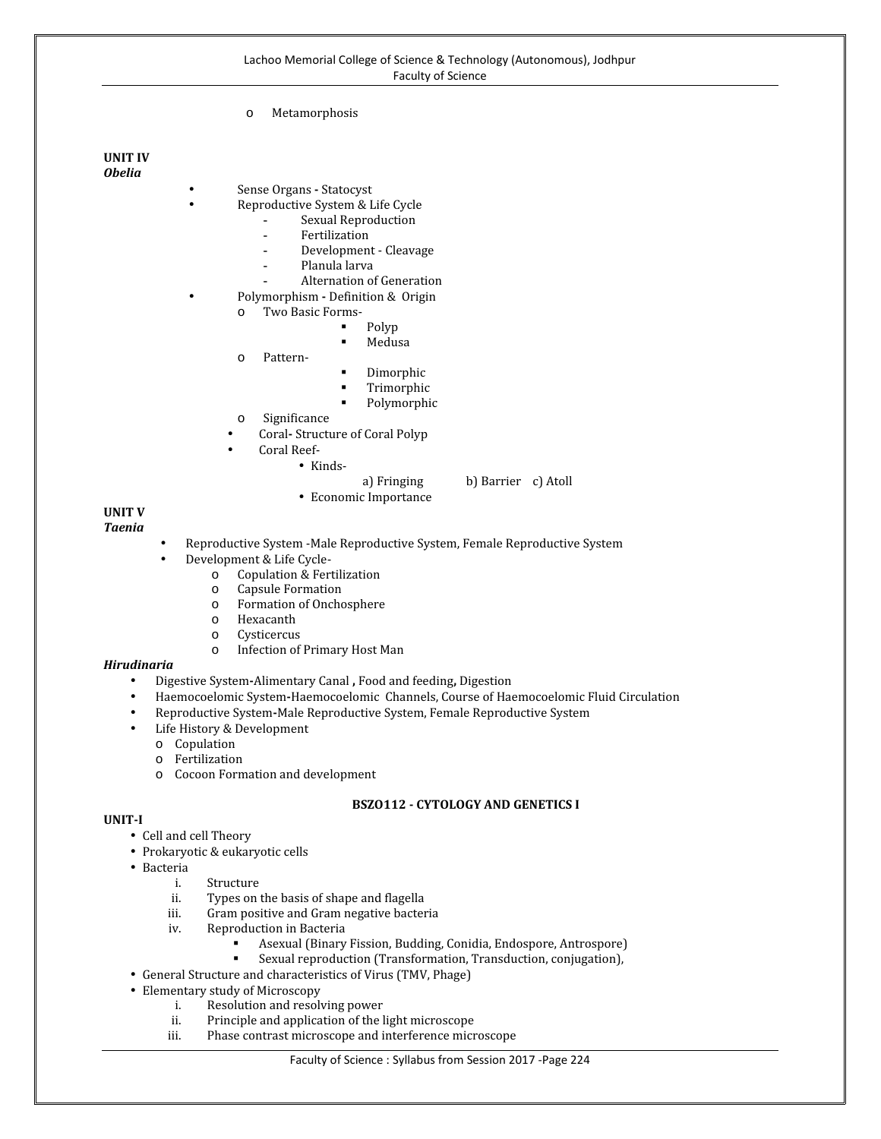o Metamorphosis

#### **UNIT IV** *Obelia*

- - Sense Organs **-** Statocyst Reproductive System & Life Cycle
		- **-** Sexual Reproduction
		-
		- **-** Fertilization **-** Development - Cleavage
		- **-** Planula larva
		- **-** Alternation of Generation
- Polymorphism **-** Definition & Origin<br>
o Two Basic Forms-<br> **Polyp**<br> **E** Polyp<br>
Medusa
	- - -
	-
- 
- Medusa<br>
Pattern-<br>
Dimorphic<br>
Trimorphic<br>
Polymorphic<br>
O Significance
	-
- 
- Coral**-** Structure of Coral Polyp
	-
- Coral Reef-<br>
 Kinds-<br>
a) Fringing
- 
- a) Fringing b) Barrier c) Atoll Economic Importance

# **UNIT V**

# *Taenia*

- $\tilde{\mathbb{N}}$  Reproductive System -Male Reproductive System  $\tilde{\mathbb{N}}$  Development & Life Cycle-
- -
	-
	-
	-
	-
- N Development & Life Cycle-<br>
o Copulation & Fertilization<br>
o Capsule Formation<br>
o Formation of Onchosphere<br>
o Hexacanth<br>
o Cysticercus<br>
o Infection of Primary Host Man

#### *Hirudinaria*

- Digestive System**-**Alimentary Canal **,** Food and feeding**,** Digestion
- Haemocoelomic System**-**Haemocoelomic Channels, Course of Haemocoelomic Fluid Circulation
- Reproductive System**-**Male Reproductive System, Female Reproductive System
- -
	-
	- $\circ$  Copulation<br>  $\circ$  Fertilization<br>  $\circ$  Cocoon Formation and development

# **BSZO112 - CYTOLOGY AND GENETICS I**

#### **UNIT-I**

- Cell and cell Theory
- Prokaryotic & eukaryotic cells Bacteria
- - i. Structure<br>ii. Types on
	- ii. Types on the basis of shape and flagella<br>iii. Gram positive and Gram negative bacter
	- iii. Gram positive and Gram negative bacteria<br>iv. Reproduction in Bacteria
	- - Reproduction in Bacteria<br>
		 Asexual (Binary Fission, Budding, Conidia, Endospore, Antrospore)
- Assexual reproduction (Transformation, Transduction, conjugation),<br>
Assexuate and characteristics of Virus (TMV, Phage)<br>
Fermentary study of Microscopy<br>
i. Resolution and resolving power
- 
- - i. Resolution and resolving power<br>ii. Principle and application of the l
	- ii. Principle and application of the light microscope<br>iii. Phase contrast microscope and interference microscope
	- Phase contrast microscope and interference microscope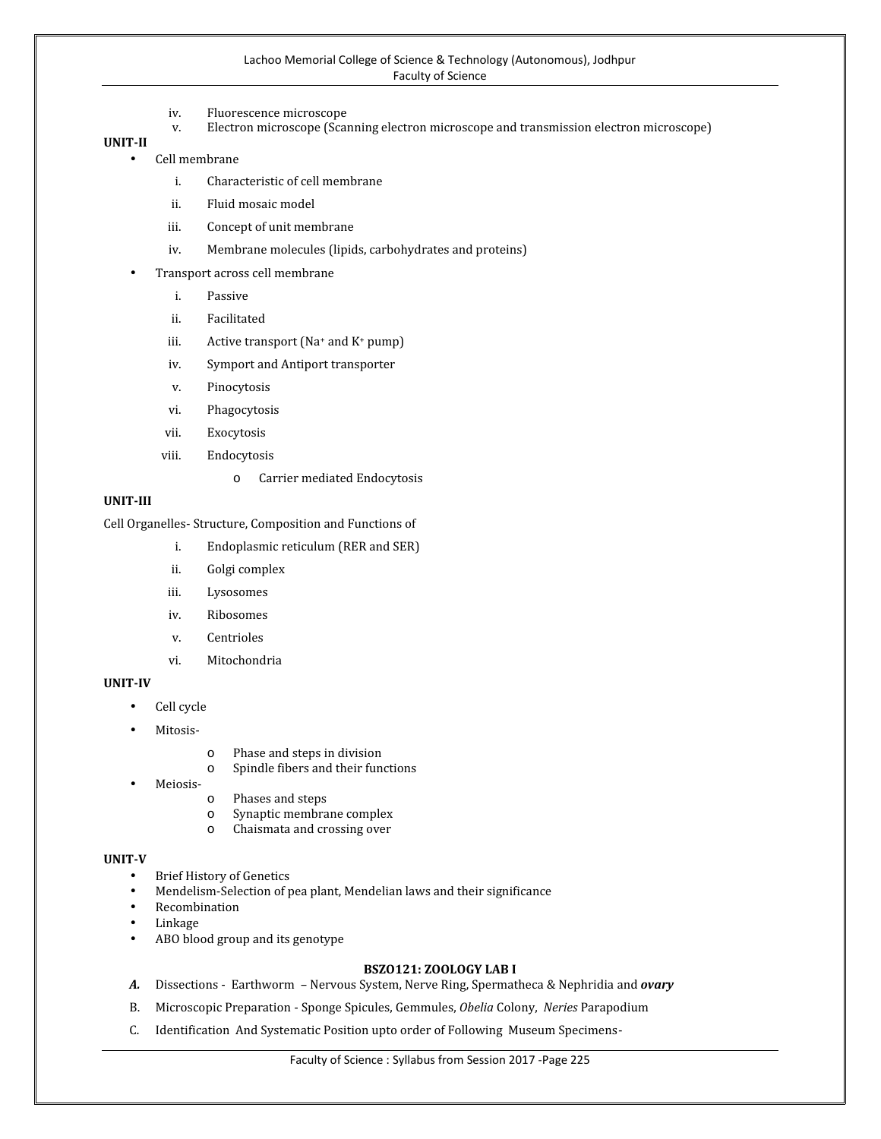- iv. Fluorescence microscope<br>v. Electron microscope (Scal
- Electron microscope (Scanning electron microscope and transmission electron microscope)

**UNIT-II**

- Cell membrane
	- i. Characteristic of cell membrane
	- ii. Fluid mosaic model
	- iii. Concept of unit membrane
	- iv. Membrane molecules (lipids, carbohydrates and proteins)
- Transport across cell membrane
	- i. Passive
	- ii. Facilitated
	- iii. Active transport  $(Na^+$  and  $K^+$  pump)
	- iv. Symport and Antiport transporter
	- v. Pinocytosis
	- vi. Phagocytosis
	- vii. Exocytosis
	- viii. Endocytosis
		- o Carrier mediated Endocytosis

# **UNIT-III**

Cell Organelles- Structure, Composition and Functions of

- i. Endoplasmic reticulum (RER and SER)
- ii. Golgi complex
- iii. Lysosomes
- iv. Ribosomes
- v. Centrioles
- vi. Mitochondria

### **UNIT-IV**

- Cell cycle
- Mitosis-
- 
- o Phase and steps in division<br>
 Meiosis-<br>
o Phases and steps<br>
o Synaptic membrane complex<br>
o Chaismata and crossing over
- -
	-
	-

#### **UNIT-V**

- 
- Brief History of Genetics Mendelism-Selection of pea plant, Mendelian laws and their significance
- Recombination
- Linkage
- ABO blood group and its genotype

# **BSZO121: ZOOLOGY LAB I**

- *A.* Dissections Earthworm Nervous System, Nerve Ring, Spermatheca & Nephridia and *ovary*
- B. Microscopic Preparation Sponge Spicules, Gemmules, *Obelia* Colony, *Neries* Parapodium
- C. Identification And Systematic Position upto order of Following Museum Specimens-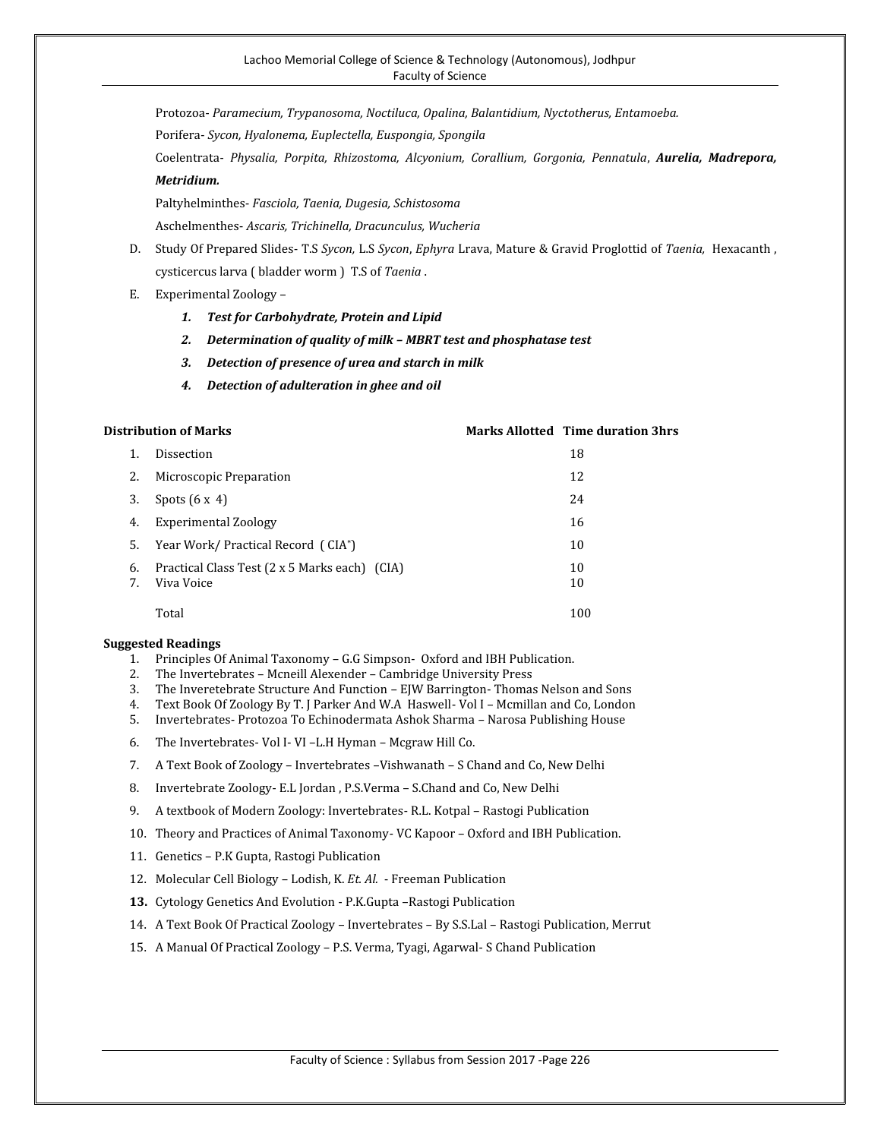Protozoa- *Paramecium, Trypanosoma, Noctiluca, Opalina, Balantidium, Nyctotherus, Entamoeba.*

Porifera- *Sycon, Hyalonema, Euplectella, Euspongia, Spongila*

Coelentrata- *Physalia, Porpita, Rhizostoma, Alcyonium, Corallium, Gorgonia, Pennatula*, *Aurelia, Madrepora, Metridium.*

Paltyhelminthes- *Fasciola, Taenia, Dugesia, Schistosoma*

Aschelmenthes- *Ascaris, Trichinella, Dracunculus, Wucheria*

- D. Study Of Prepared Slides- T.S *Sycon,* L.S *Sycon*, *Ephyra* Lrava, Mature & Gravid Proglottid of *Taenia,* Hexacanth , cysticercus larva ( bladder worm ) T.S of *Taenia* .
- E. Experimental Zoology
	- *1. Test for Carbohydrate, Protein and Lipid*
	- *2. Determination of quality of milk – MBRT test and phosphatase test*
	- *3. Detection of presence of urea and starch in milk*
	- *4. Detection of adulteration in ghee and oil*

#### **Distribution of Marks Marks Allotted Time duration 3hrs**

| 1.       | Dissection                                                  | 18       |
|----------|-------------------------------------------------------------|----------|
| 2.       | Microscopic Preparation                                     | 12       |
| 3.       | Spots $(6x 4)$                                              | 24       |
| 4.       | Experimental Zoology                                        | 16       |
| 5.       | Year Work/ Practical Record (CIA*)                          | 10       |
| 6.<br>7. | Practical Class Test (2 x 5 Marks each) (CIA)<br>Viva Voice | 10<br>10 |
|          | Total                                                       | 100      |

- 1. Principles Of Animal Taxonomy G.G Simpson- Oxford and IBH Publication.
- 2. The Invertebrates Mcneill Alexender Cambridge University Press
- 3. The Inveretebrate Structure And Function EJW Barrington- Thomas Nelson and Sons
- 4. Text Book Of Zoology By T. J Parker And W.A Haswell- Vol I Mcmillan and Co, London
- 5. Invertebrates- Protozoa To Echinodermata Ashok Sharma Narosa Publishing House
- 6. The Invertebrates- Vol I- VI –L.H Hyman Mcgraw Hill Co.
- 7. A Text Book of Zoology Invertebrates –Vishwanath S Chand and Co, New Delhi
- 8. Invertebrate Zoology- E.L Jordan , P.S.Verma S.Chand and Co, New Delhi
- 9. A textbook of Modern Zoology: Invertebrates- R.L. Kotpal Rastogi Publication
- 10. Theory and Practices of Animal Taxonomy- VC Kapoor Oxford and IBH Publication.
- 11. Genetics P.K Gupta, Rastogi Publication
- 12. Molecular Cell Biology Lodish, K. *Et. Al.* Freeman Publication
- **13.** Cytology Genetics And Evolution P.K.Gupta –Rastogi Publication
- 14. A Text Book Of Practical Zoology Invertebrates By S.S.Lal Rastogi Publication, Merrut
- 15. A Manual Of Practical Zoology P.S. Verma, Tyagi, Agarwal- S Chand Publication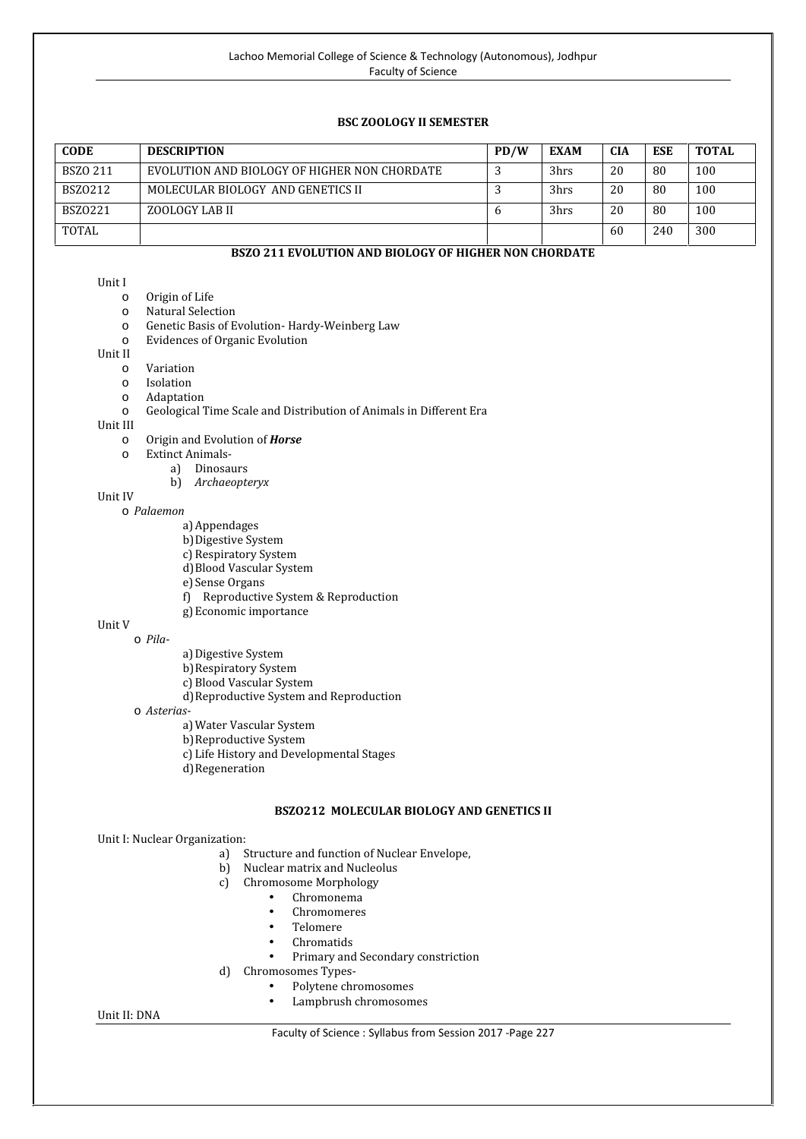# **BSC ZOOLOGY II SEMESTER**

| <b>CODE</b>     | <b>DESCRIPTION</b>                           | PD/W | <b>EXAM</b> | <b>CIA</b> | <b>ESE</b> | <b>TOTAL</b> |
|-----------------|----------------------------------------------|------|-------------|------------|------------|--------------|
| <b>BSZO 211</b> | EVOLUTION AND BIOLOGY OF HIGHER NON CHORDATE |      | 3hrs        | 20         | 80         | 100          |
| BSZ0212         | MOLECULAR BIOLOGY AND GENETICS II            |      | 3hrs        | 20         | 80         | 100          |
| <b>BSZ0221</b>  | ZOOLOGY LAB II                               |      | 3hrs        | 20         | 80         | 100          |
| TOTAL           |                                              |      |             | 60         | 240        | 300          |

# **BSZO 211 EVOLUTION AND BIOLOGY OF HIGHER NON CHORDATE**

- 
- 
- Unit I<br>
o Origin of Life<br>
o Natural Selection<br>
o Genetic Basis of Evolution- Hardy-Weinberg Law<br>
o Evidences of Organic Evolution
- o Evidences of Organic Evolution

- 
- 
- 
- O Variation<br>
O Isolation<br>
O Geological Time Scale and Distribution of Animals in Different Era<br>
Unit III

- o Origin and Evolution of **Horse**<br> **o** Extinct Animals
	- - a) Dinosaurs
			- b) *Archaeopteryx*

# Unit IV

- o *Palaemon*
	- a)Appendages
	- b) Digestive System
	- c) Respiratory System
	- d)Blood Vascular System
	- e) Sense Organs
	- f) Reproductive System & Reproduction
	- g)Economic importance

#### Unit V o *Pila*-

- - a) Digestive System
	- b)Respiratory System
	- c) Blood Vascular System
- 
- d)Reproductive System and Reproduction <sup>o</sup> *Asterias*-a)Water Vascular System
	- b)Reproductive System
	- c) Life History and Developmental Stages
	- d)Regeneration

# **BSZO212 MOLECULAR BIOLOGY AND GENETICS II**

# Unit I: Nuclear Organization:

- a) Structure and function of Nuclear Envelope,
- b) Nuclear matrix and Nucleolus
- c) Chromosome Morphology
	- Chromonema
	-
	- Chromomeres<br>• Telomere<br>• Chromatids
	-
	-
- Primary and Secondary constriction<br>d) Chromosomes Types-
	- - Polytene chromosomes<br>• Lampbrush chromosomes
		-

#### Unit II: DNA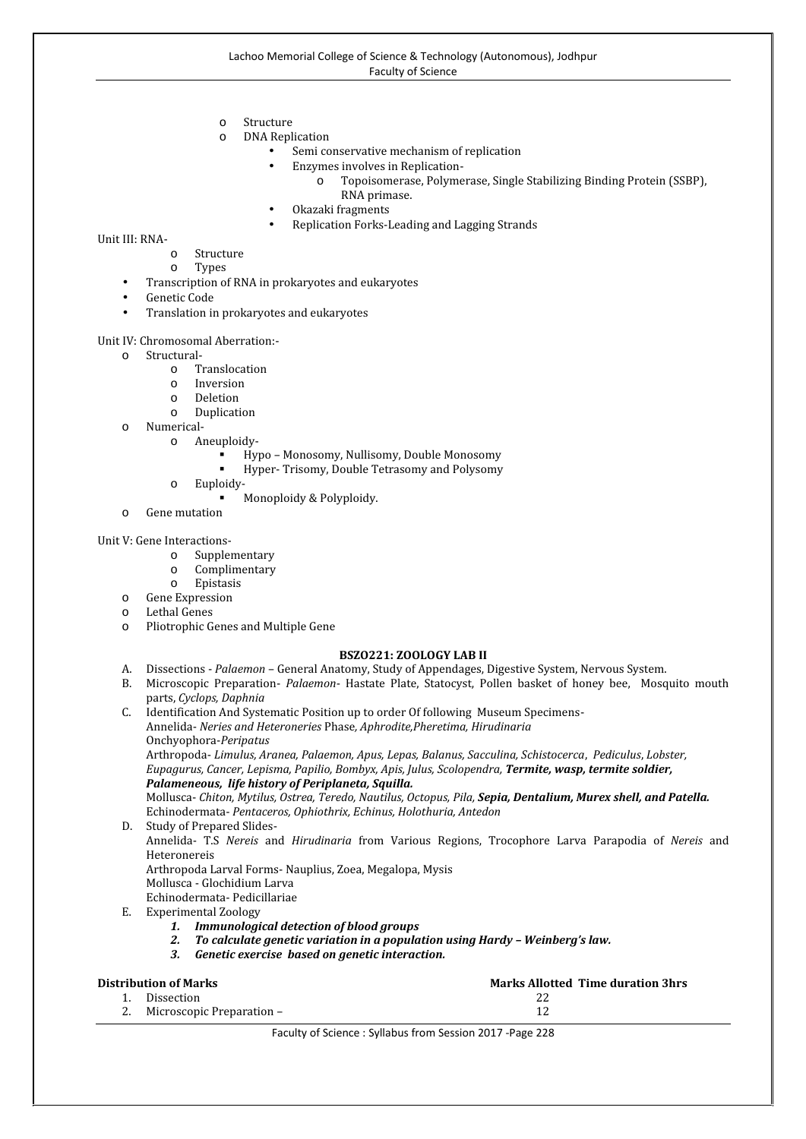- 
- <sup>o</sup> Structure <sup>o</sup> DNA Replication
	- Semi conservative mechanism of replication<br>Enzymes involves in Replication-
	-
	- Enzymes involves in Replication-<br>
	o Topoisomerase, Polymerase, Single Stabilizing Binding Protein (SSBP),<br>
	RNA primase.
	-
	- Okazaki fragments<br>Replication Forks-Leading and Lagging Strands

- 
- 
- Unit III: RNA-<br>
o Structure<br>
o Types<br>
 Transcription of RNA in prokaryotes and eukaryotes<br>
 Genetic Code
	-
	- Translation in prokaryotes and eukaryotes

- -
	-
	-
	-
- -
- Unit IV: Chromosomal Aberration:-<br>
o Structural-<br>
o Translocation<br>
o Deletion<br>
o Duplication<br>
o Numerical-<br>
o Aneuploidy-<br>
Hypo Monosomy, Nullisomy, Double Monosomy
	- Hyper- Trisomy, Double Tetrasomy and Polysomy <sup>o</sup> Euploidy- Monoploidy & Polyploidy. <sup>o</sup> Gene mutation
		- -
	-

- 
- 
- 
- 
- 
- Unit V: Gene Interactions-<br>
o Supplementary<br>
o Complimentary<br>
o Epistasis<br>
o Gene Expression<br>
o Lethal Genes<br>
o Pliotrophic Genes and Multiple Gene

#### **BSZO221: ZOOLOGY LAB II**

- A. Dissections *Palaemon* General Anatomy, Study of Appendages, Digestive System, Nervous System.
- B. Microscopic Preparation- *Palaemon* Hastate Plate, Statocyst, Pollen basket of honey bee, Mosquito mouth parts, *Cyclops, Daphnia*
- C. Identification And Systematic Position up to order Of following Museum Specimens- Annelida- *Neries and Heteroneries* Phase*, Aphrodite,Pheretima, Hirudinaria* Onchyophora-*Peripatus*

Arthropoda- *Limulus, Aranea, Palaemon, Apus, Lepas, Balanus, Sacculina, Schistocerca*, *Pediculus*, *Lobster, Eupagurus, Cancer, Lepisma, Papilio, Bombyx, Apis, Julus, Scolopendra, Termite, wasp, termite soldier, Palameneous, life history of Periplaneta, Squilla.*

Mollusca- *Chiton, Mytilus, Ostrea, Teredo, Nautilus, Octopus, Pila, Sepia, Dentalium, Murex shell, and Patella.* Echinodermata- *Pentaceros, Ophiothrix, Echinus, Holothuria, Antedon*

- D. Study of Prepared Slides- Annelida- T.S *Nereis* and *Hirudinaria* from Various Regions, Trocophore Larva Parapodia of *Nereis* and Heteronereis Arthropoda Larval Forms- Nauplius, Zoea, Megalopa, Mysis Mollusca - Glochidium Larva Echinodermata- Pedicillariae
- E. Experimental Zoology
	- *1. Immunological detection of blood groups*
	- *2. To calculate genetic variation in a population using Hardy – Weinberg's law.*
	- *3. Genetic exercise based on genetic interaction.*

| <b>Marks Allotted Time duration 3hrs</b><br>Distribution of Marks |                              |  |  |  |
|-------------------------------------------------------------------|------------------------------|--|--|--|
|                                                                   | Dissection                   |  |  |  |
|                                                                   | 2. Microscopic Preparation – |  |  |  |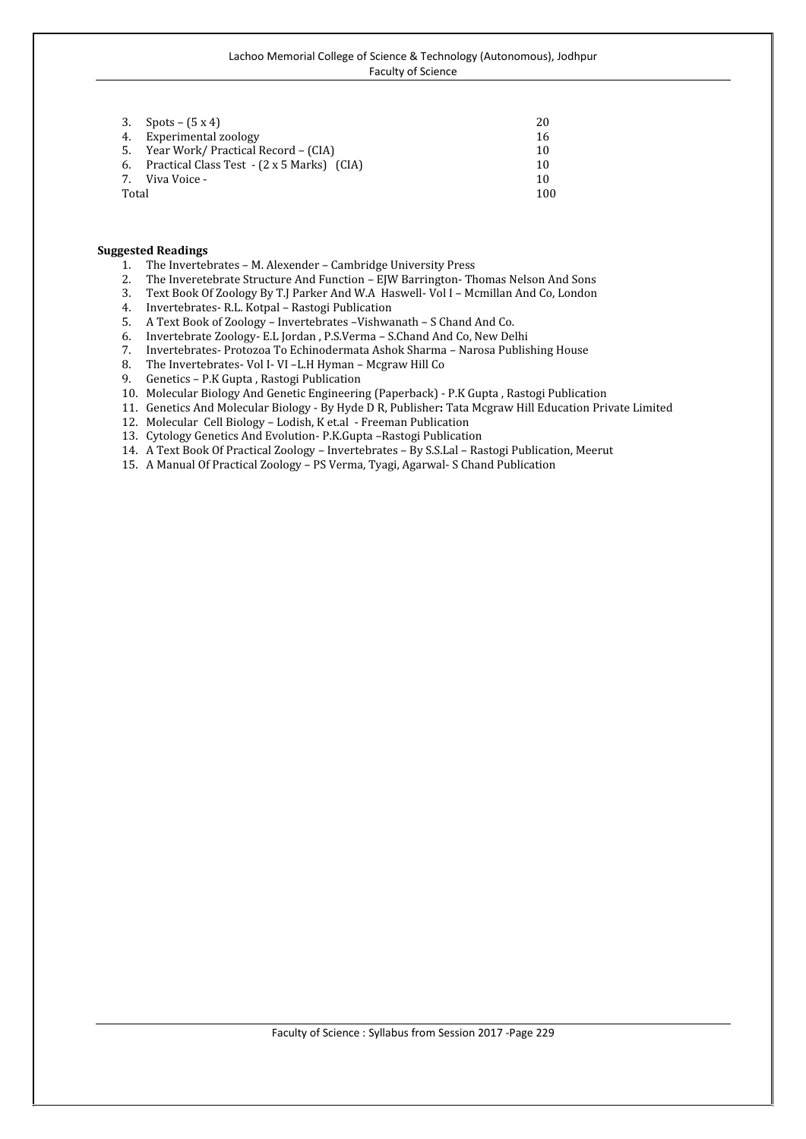|       | 3. Spots – $(5x4)$                            | 20  |
|-------|-----------------------------------------------|-----|
|       | 4. Experimental zoology                       | 16  |
|       | 5. Year Work/ Practical Record – (CIA)        | 10  |
|       | 6. Practical Class Test - (2 x 5 Marks) (CIA) | 10  |
| 7.    | Viva Voice -                                  | 10  |
| Total |                                               | 100 |

- 1. The Invertebrates M. Alexender Cambridge University Press<br>2. The Inveretebrate Structure And Function EIW Barrington- Th
- 2. The Inveretebrate Structure And Function EJW Barrington- Thomas Nelson And Sons
- 3. Text Book Of Zoology By T.J Parker And W.A Haswell- Vol I Mcmillan And Co, London
- 4. Invertebrates- R.L. Kotpal Rastogi Publication
- 5. A Text Book of Zoology Invertebrates –Vishwanath S Chand And Co.
- 6. Invertebrate Zoology- E.L Jordan , P.S.Verma S.Chand And Co, New Delhi
- 7. Invertebrates- Protozoa To Echinodermata Ashok Sharma Narosa Publishing House
- 8. The Invertebrates- Vol I- VI L.H Hyman Mcgraw Hill Co<br>9. Genetics P.K Gupta, Rastogi Publication
- 9. Genetics P.K Gupta , Rastogi Publication
- 10. Molecular Biology And Genetic Engineering (Paperback) P.K Gupta , Rastogi Publication
- 11. Genetics And Molecular Biology By Hyde D R, Publisher**:** Tata Mcgraw Hill Education Private Limited
- 12. Molecular Cell Biology Lodish, K et.al Freeman Publication
- 13. Cytology Genetics And Evolution- P.K.Gupta –Rastogi Publication
- 14. A Text Book Of Practical Zoology Invertebrates By S.S.Lal Rastogi Publication, Meerut
- 15. A Manual Of Practical Zoology PS Verma, Tyagi, Agarwal- S Chand Publication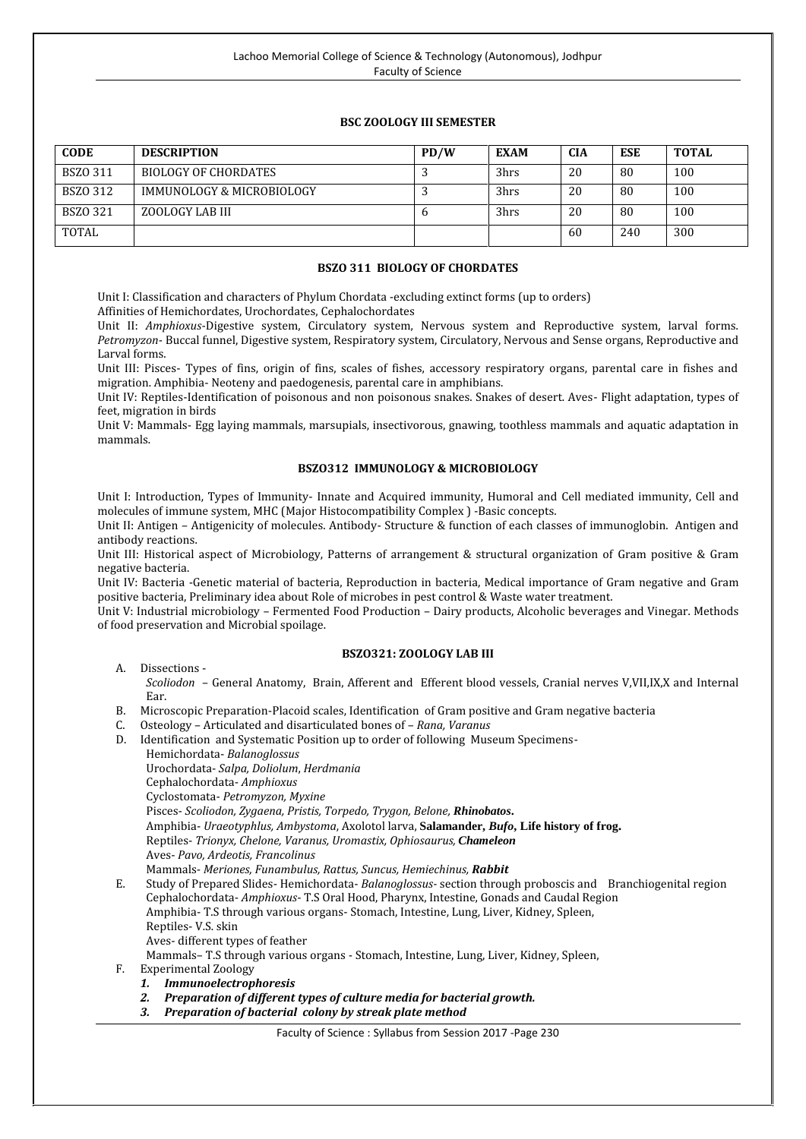# **BSC ZOOLOGY III SEMESTER**

| <b>CODE</b>     | <b>DESCRIPTION</b>        | PD/W | <b>EXAM</b> | <b>CIA</b> | ESE | <b>TOTAL</b> |
|-----------------|---------------------------|------|-------------|------------|-----|--------------|
| BSZ0 311        | BIOLOGY OF CHORDATES      |      | 3hrs        | 20         | -80 | 100          |
| <b>BSZO 312</b> | IMMUNOLOGY & MICROBIOLOGY |      | 3hrs        | 20         | -80 | 100          |
| <b>BSZO 321</b> | ZOOLOGY LAB III           | Ð    | 3hrs        | 20         | -80 | 100          |
| TOTAL           |                           |      |             | 60         | 240 | 300          |

# **BSZO 311 BIOLOGY OF CHORDATES**

Unit I: Classification and characters of Phylum Chordata -excluding extinct forms (up to orders)

Affinities of Hemichordates, Urochordates, Cephalochordates

Unit II: *Amphioxus*-Digestive system, Circulatory system, Nervous system and Reproductive system, larval forms. *Petromyzon*- Buccal funnel, Digestive system, Respiratory system, Circulatory, Nervous and Sense organs, Reproductive and Larval forms.

Unit III: Pisces- Types of fins, origin of fins, scales of fishes, accessory respiratory organs, parental care in fishes and migration. Amphibia- Neoteny and paedogenesis, parental care in amphibians.

Unit IV: Reptiles-Identification of poisonous and non poisonous snakes. Snakes of desert. Aves- Flight adaptation, types of feet, migration in birds

Unit V: Mammals- Egg laying mammals, marsupials, insectivorous, gnawing, toothless mammals and aquatic adaptation in mammals.

# **BSZO312 IMMUNOLOGY & MICROBIOLOGY**

Unit I: Introduction, Types of Immunity- Innate and Acquired immunity, Humoral and Cell mediated immunity, Cell and molecules of immune system, MHC (Major Histocompatibility Complex ) -Basic concepts.

Unit II: Antigen – Antigenicity of molecules. Antibody- Structure & function of each classes of immunoglobin. Antigen and antibody reactions.

Unit III: Historical aspect of Microbiology, Patterns of arrangement & structural organization of Gram positive & Gram negative bacteria.

Unit IV: Bacteria -Genetic material of bacteria, Reproduction in bacteria, Medical importance of Gram negative and Gram positive bacteria, Preliminary idea about Role of microbes in pest control & Waste water treatment.

Unit V: Industrial microbiology – Fermented Food Production – Dairy products, Alcoholic beverages and Vinegar. Methods of food preservation and Microbial spoilage.

# **BSZO321: ZOOLOGY LAB III**

- 
- A. Dissections *Scoliodon* General Anatomy, Brain, Afferent and Efferent blood vessels, Cranial nerves V,VII,IX,X and Internal Ear.
- B. Microscopic Preparation-Placoid scales, Identification of Gram positive and Gram negative bacteria<br>C. Osteology Articulated and disarticulated bones of *Rong Varanus*
- C. Osteology Articulated and disarticulated bones of *Rana, Varanus*
- D. Identification and Systematic Position up to order of following Museum Specimens-
	- Hemichordata- *Balanoglossus*
	- Urochordata- *Salpa, Doliolum*, *Herdmania*
	- Cephalochordata- *Amphioxus*
	- Cyclostomata- *Petromyzon, Myxine*
	- Pisces- *Scoliodon, Zygaena, Pristis, Torpedo, Trygon, Belone, Rhinobatos***.**
	- Amphibia- *Uraeotyphlus, Ambystoma*, Axolotol larva, **Salamander,** *Bufo***, Life history of frog.**
	- Reptiles- *Trionyx, Chelone, Varanus, Uromastix, Ophiosaurus, Chameleon*
	- Aves- *Pavo, Ardeotis, Francolinus*
	- Mammals- *Meriones, Funambulus, Rattus, Suncus, Hemiechinus, Rabbit*
- E. Study of Prepared Slides- Hemichordata- *Balanoglossus-* section through proboscis and Branchiogenital region Cephalochordata- *Amphioxus*- T.S Oral Hood, Pharynx, Intestine, Gonads and Caudal Region Amphibia- T.S through various organs- Stomach, Intestine, Lung, Liver, Kidney, Spleen,
	- Reptiles- V.S. skin
	- Aves- different types of feather
	- Mammals– T.S through various organs Stomach, Intestine, Lung, Liver, Kidney, Spleen,

F. Experimental Zoology

- *1. Immunoelectrophoresis*
- *2. Preparation of different types of culture media for bacterial growth.*
- *3. Preparation of bacterial colony by streak plate method*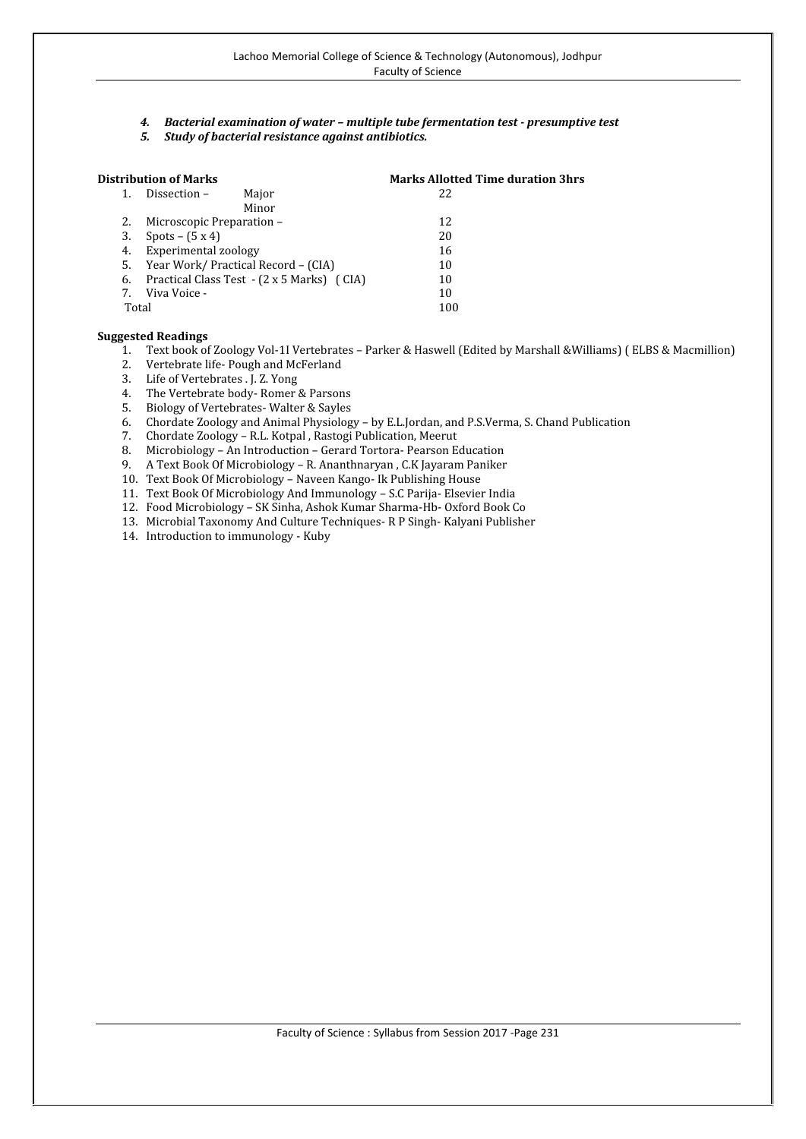- *4. Bacterial examination of water – multiple tube fermentation test - presumptive test*
- *5. Study of bacterial resistance against antibiotics.*

|    | Distribution of Marks     |                                            | <b>Marks Allotted Time duration 3hrs</b> |
|----|---------------------------|--------------------------------------------|------------------------------------------|
|    | Dissection –              | Major                                      | 22                                       |
|    |                           | Minor                                      |                                          |
| 2. | Microscopic Preparation – |                                            | 12                                       |
| 3. | Spots – $(5x4)$           |                                            | 20                                       |
| 4. | Experimental zoology      |                                            | 16                                       |
| 5. |                           | Year Work/ Practical Record – (CIA)        | 10                                       |
| 6. |                           | Practical Class Test - (2 x 5 Marks) (CIA) | 10                                       |
| 7. | Viva Voice -              |                                            | 10                                       |
|    | Total                     |                                            | 100                                      |

- 1. Text book of Zoology Vol-1I Vertebrates Parker & Haswell (Edited by Marshall &Williams) ( ELBS & Macmillion)
- 2. Vertebrate life- Pough and McFerland
- 3. Life of Vertebrates . J. Z. Yong
- 4. The Vertebrate body-Romer & Parsons<br>5. Biology of Vertebrates-Walter & Sayles
- 5. Biology of Vertebrates-Walter & Sayles<br>6. Chordate Zoology and Animal Physiolog
- 6. Chordate Zoology and Animal Physiology by E.L.Jordan, and P.S.Verma, S. Chand Publication
- 7. Chordate Zoology R.L. Kotpal , Rastogi Publication, Meerut
- 8. Microbiology An Introduction Gerard Tortora- Pearson Education<br>9. A Text Book Of Microbiology R. Ananthnaryan, C.K Jayaram Paniker
- 9. A Text Book Of Microbiology R. Ananthnaryan , C.K Jayaram Paniker
- 10. Text Book Of Microbiology Naveen Kango- Ik Publishing House
- 11. Text Book Of Microbiology And Immunology S.C Parija- Elsevier India
- 12. Food Microbiology SK Sinha, Ashok Kumar Sharma-Hb- Oxford Book Co
- 13. Microbial Taxonomy And Culture Techniques- R P Singh- Kalyani Publisher
- 14. Introduction to immunology Kuby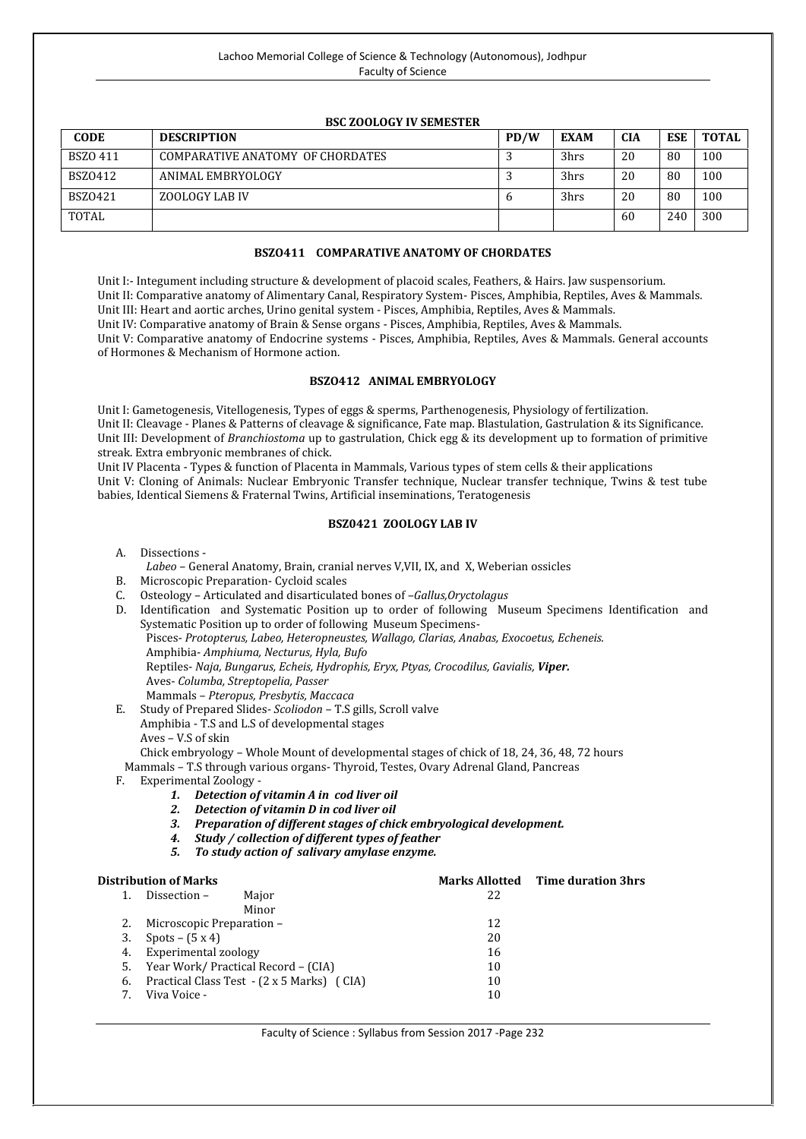| <b>BSC ZOOLOGY IV SEMESTER</b> |                                  |      |             |            |            |              |
|--------------------------------|----------------------------------|------|-------------|------------|------------|--------------|
| <b>CODE</b>                    | <b>DESCRIPTION</b>               | PD/W | <b>EXAM</b> | <b>CIA</b> | <b>ESE</b> | <b>TOTAL</b> |
| BSZ0411                        | COMPARATIVE ANATOMY OF CHORDATES |      | 3hrs        | 20         | 80         | 100          |
| BSZ0412                        | ANIMAL EMBRYOLOGY                |      | 3hrs        | 20         | 80         | 100          |
| BSZ0421                        | ZOOLOGY LAB IV                   |      | 3hrs        | 20         | 80         | 100          |
| TOTAL                          |                                  |      |             | 60         | 240        | 300          |

**BSZO411 COMPARATIVE ANATOMY OF CHORDATES**

Unit V: Comparative anatomy of Endocrine systems - Pisces, Amphibia, Reptiles, Aves & Mammals. General accounts

# of Hormones & Mechanism of Hormone action. **BSZO412 ANIMAL EMBRYOLOGY** Unit I: Gametogenesis, Vitellogenesis, Types of eggs & sperms, Parthenogenesis, Physiology of fertilization.

Unit I:- Integument including structure & development of placoid scales, Feathers, & Hairs. Jaw suspensorium. Unit II: Comparative anatomy of Alimentary Canal, Respiratory System- Pisces, Amphibia, Reptiles, Aves & Mammals.

Unit III: Heart and aortic arches, Urino genital system - Pisces, Amphibia, Reptiles, Aves & Mammals. Unit IV: Comparative anatomy of Brain & Sense organs - Pisces, Amphibia, Reptiles, Aves & Mammals.

Unit II: Cleavage - Planes & Patterns of cleavage & significance, Fate map. Blastulation, Gastrulation & its Significance. Unit III: Development of *Branchiostoma* up to gastrulation, Chick egg & its development up to formation of primitive streak. Extra embryonic membranes of chick.

Unit IV Placenta - Types & function of Placenta in Mammals, Various types of stem cells & their applications Unit V: Cloning of Animals: Nuclear Embryonic Transfer technique, Nuclear transfer technique, Twins & test tube babies, Identical Siemens & Fraternal Twins, Artificial inseminations, Teratogenesis

# **BSZ0421 ZOOLOGY LAB IV**

- 
- A. Dissections *Labeo* General Anatomy, Brain, cranial nerves V,VII, IX, and X, Weberian ossicles
- B. Microscopic Preparation- Cycloid scales<br>C. Osteology Articulated and disarticulate
- C. Osteology Articulated and disarticulated bones of *–Gallus,Oryctolagus*
- D. Identification and Systematic Position up to order of following Museum Specimens Identification and Systematic Position up to order of following Museum Specimens- Pisces- *Protopterus, Labeo, Heteropneustes, Wallago, Clarias, Anabas, Exocoetus, Echeneis.* Amphibia- *Amphiuma, Necturus, Hyla, Bufo* Reptiles- *Naja, Bungarus, Echeis, Hydrophis, Eryx, Ptyas, Crocodilus, Gavialis, Viper.* Aves- *Columba, Streptopelia, Passer* Mammals – *Pteropus, Presbytis, Maccaca*
- E. Study of Prepared Slides- *Scoliodon* T.S gills, Scroll valve Amphibia - T.S and L.S of developmental stages
	- Aves V.S of skin
	- Chick embryology Whole Mount of developmental stages of chick of 18, 24, 36, 48, 72 hours
- Mammals T.S through various organs- Thyroid, Testes, Ovary Adrenal Gland, Pancreas
- - 1. Detection of vitamin A in cod liver oil
	- *2. Detection of vitamin D in cod liver oil*
	- *3. Preparation of different stages of chick embryological development.*
	- *4. Study / collection of different types of feather*
	- *5. To study action of salivary amylase enzyme.*

|    | <b>Distribution of Marks</b>           |                                            |    | <b>Marks Allotted</b> Time duration 3hrs |
|----|----------------------------------------|--------------------------------------------|----|------------------------------------------|
|    | Dissection –                           | Maior                                      | 22 |                                          |
|    |                                        | Minor                                      |    |                                          |
|    | 2. Microscopic Preparation –           |                                            | 12 |                                          |
| 3. | Spots – $(5x4)$                        |                                            | 20 |                                          |
| 4. | Experimental zoology                   |                                            | 16 |                                          |
|    | 5. Year Work/ Practical Record – (CIA) |                                            | 10 |                                          |
| 6. |                                        | Practical Class Test - (2 x 5 Marks) (CIA) | 10 |                                          |
|    | Viva Voice -                           |                                            | 10 |                                          |
|    |                                        |                                            |    |                                          |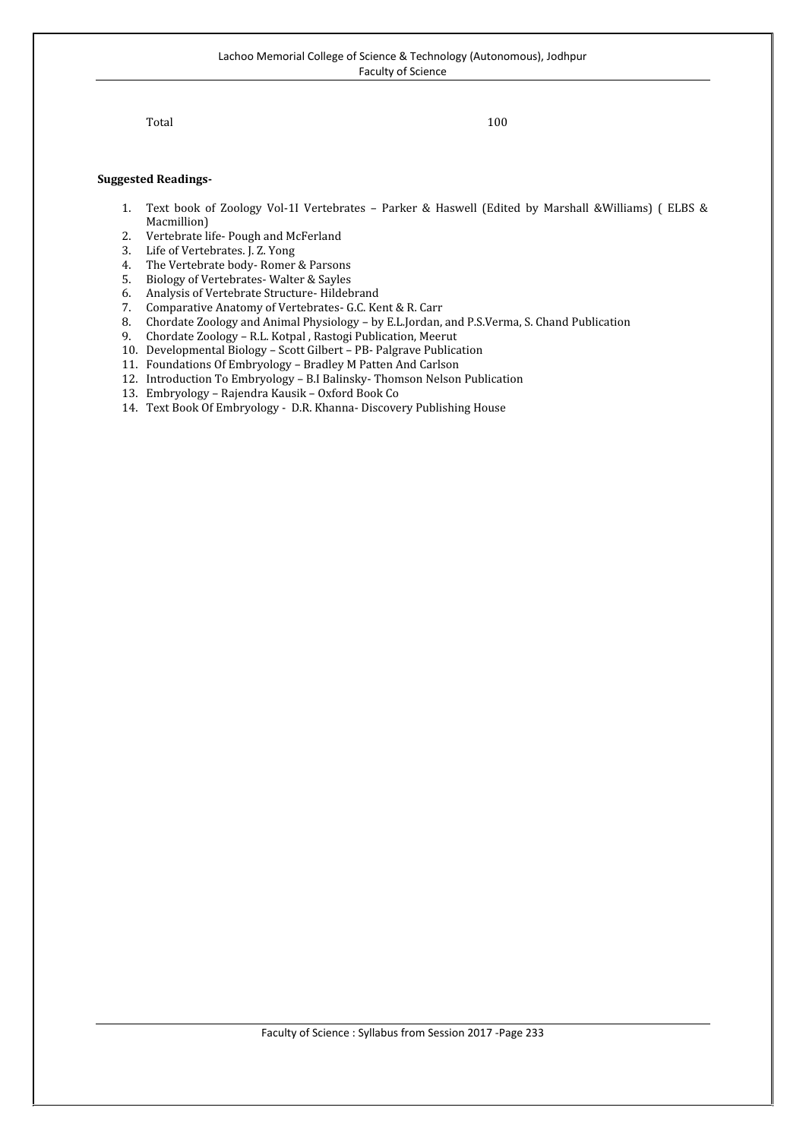Total 100

- 1. Text book of Zoology Vol-1I Vertebrates Parker & Haswell (Edited by Marshall &Williams) ( ELBS & Macmillion)
- 2. Vertebrate life- Pough and McFerland<br>3. Life of Vertebrates. J. Z. Yong
- 3. Life of Vertebrates. J. Z. Yong
- 4. The Vertebrate body-Romer & Parsons<br>5. Biology of Vertebrates-Walter & Savles
- 5. Biology of Vertebrates- Walter & Sayles
- 6. Analysis of Vertebrate Structure- Hildebrand
- 7. Comparative Anatomy of Vertebrates- G.C. Kent & R. Carr
- 8. Chordate Zoology and Animal Physiology by E.L.Jordan, and P.S.Verma, S. Chand Publication
- 9. Chordate Zoology R.L. Kotpal , Rastogi Publication, Meerut
- 10. Developmental Biology Scott Gilbert PB- Palgrave Publication
- 11. Foundations Of Embryology Bradley M Patten And Carlson
- 12. Introduction To Embryology B.I Balinsky- Thomson Nelson Publication
- 13. Embryology Rajendra Kausik Oxford Book Co
- 14. Text Book Of Embryology D.R. Khanna- Discovery Publishing House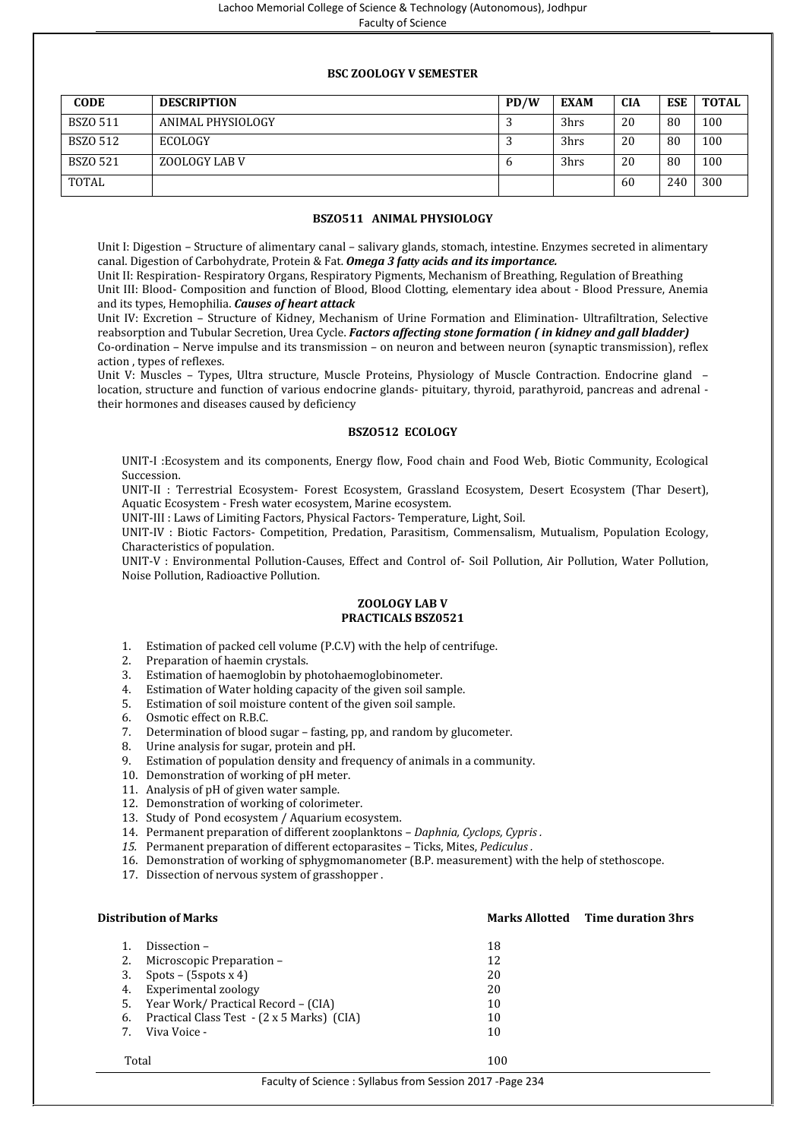# **BSC ZOOLOGY V SEMESTER**

| <b>CODE</b> | <b>DESCRIPTION</b> | PD/W | <b>EXAM</b> | <b>CIA</b> | <b>ESE</b> | <b>TOTAL</b> |
|-------------|--------------------|------|-------------|------------|------------|--------------|
| BSZ0 511    | ANIMAL PHYSIOLOGY  |      | 3hrs        | 20         | 80         | 100          |
| BSZO 512    | <b>ECOLOGY</b>     |      | 3hrs        | 20         | 80         | 100          |
| BSZO 521    | ZOOLOGY LAB V      | o    | 3hrs        | 20         | -80        | 100          |
| TOTAL       |                    |      |             | 60         | 240        | 300          |

# **BSZO511 ANIMAL PHYSIOLOGY**

Unit I: Digestion – Structure of alimentary canal – salivary glands, stomach, intestine. Enzymes secreted in alimentary canal. Digestion of Carbohydrate, Protein & Fat. *Omega 3 fatty acids and its importance.*

Unit II: Respiration- Respiratory Organs, Respiratory Pigments, Mechanism of Breathing, Regulation of Breathing Unit III: Blood- Composition and function of Blood, Blood Clotting, elementary idea about - Blood Pressure, Anemia and its types, Hemophilia. *Causes of heart attack*

Unit IV: Excretion – Structure of Kidney, Mechanism of Urine Formation and Elimination- Ultrafiltration, Selective reabsorption and Tubular Secretion, Urea Cycle. *Factors affecting stone formation ( in kidney and gall bladder)* Co-ordination – Nerve impulse and its transmission – on neuron and between neuron (synaptic transmission), reflex action , types of reflexes.

Unit V: Muscles – Types, Ultra structure, Muscle Proteins, Physiology of Muscle Contraction. Endocrine gland – location, structure and function of various endocrine glands- pituitary, thyroid, parathyroid, pancreas and adrenal their hormones and diseases caused by deficiency

### **BSZO512 ECOLOGY**

UNIT-I :Ecosystem and its components, Energy flow, Food chain and Food Web, Biotic Community, Ecological Succession.

UNIT-II : Terrestrial Ecosystem- Forest Ecosystem, Grassland Ecosystem, Desert Ecosystem (Thar Desert), Aquatic Ecosystem - Fresh water ecosystem, Marine ecosystem.

UNIT-III : Laws of Limiting Factors, Physical Factors- Temperature, Light, Soil.

UNIT-IV : Biotic Factors- Competition, Predation, Parasitism, Commensalism, Mutualism, Population Ecology, Characteristics of population.

UNIT-V : Environmental Pollution-Causes, Effect and Control of- Soil Pollution, Air Pollution, Water Pollution, Noise Pollution, Radioactive Pollution.

# **ZOOLOGY LAB V PRACTICALS BSZ0521**

- 1. Estimation of packed cell volume (P.C.V) with the help of centrifuge.<br>
2. Preparation of haemin crystals.<br>
3. Estimation of haemoglobin by photohaemoglobinometer.
- Preparation of haemin crystals.
- Estimation of haemoglobin by photohaemoglobinometer.
- 4. Estimation of Water holding capacity of the given soil sample.
- 5. Estimation of soil moisture content of the given soil sample.
- 6. Osmotic effect on R.B.C.
- 7. Determination of blood sugar fasting, pp, and random by glucometer.
- 8. Urine analysis for sugar, protein and pH.<br>9. Estimation of population density and free
- Estimation of population density and frequency of animals in a community.
- 10. Demonstration of working of pH meter.
- 11. Analysis of pH of given water sample.
- 12. Demonstration of working of colorimeter.
- 13. Study of Pond ecosystem / Aquarium ecosystem.
- 14. Permanent preparation of different zooplanktons *Daphnia, Cyclops, Cypris .*
- *15.* Permanent preparation of different ectoparasites Ticks, Mites, *Pediculus .*
- 16. Demonstration of working of sphygmomanometer (B.P. measurement) with the help of stethoscope.
- 17. Dissection of nervous system of grasshopper .

|       | <b>Distribution of Marks</b>               |     | <b>Marks Allotted</b> Time duration 3hrs |
|-------|--------------------------------------------|-----|------------------------------------------|
|       | Dissection –                               | 18  |                                          |
|       | Microscopic Preparation –                  | 12  |                                          |
| 3.    | Spots $-$ (5spots x 4)                     | 20  |                                          |
| 4.    | Experimental zoology                       | 20  |                                          |
| 5.    | Year Work/ Practical Record - (CIA)        | 10  |                                          |
| 6.    | Practical Class Test - (2 x 5 Marks) (CIA) | 10  |                                          |
|       | Viva Voice -                               | 10  |                                          |
| Total |                                            | 100 |                                          |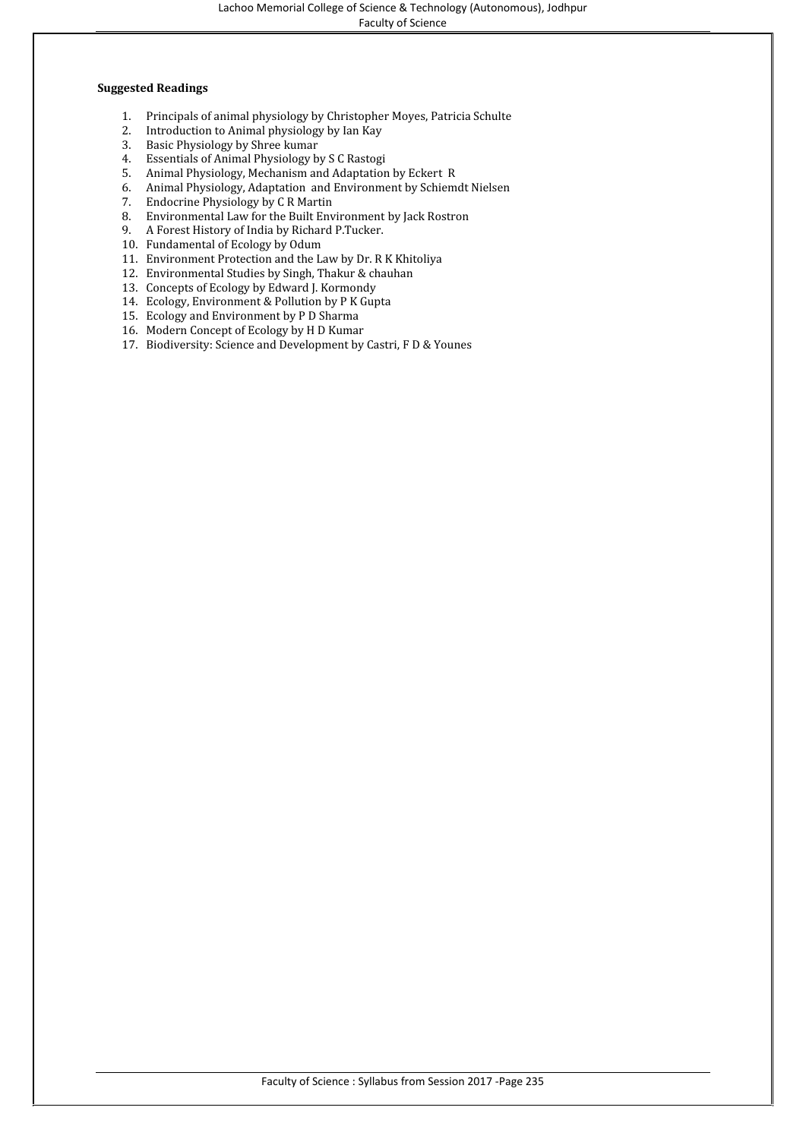Faculty of Science

- 1. Principals of animal physiology by Christopher Moyes, Patricia Schulte
- 2. Introduction to Animal physiology by Ian Kay<br>3. Basic Physiology by Shree kumar<br>4. Essentials of Animal Physiology by S C Rastogi
- Basic Physiology by Shree kumar
- Essentials of Animal Physiology by S C Rastogi
- 5. Animal Physiology, Mechanism and Adaptation by Eckert R
- 6. Animal Physiology, Adaptation and Environment by Schiemdt Nielsen
- 7. Endocrine Physiology by C R Martin
- 8. Environmental Law for the Built Environment by Jack Rostron
- 9. A Forest History of India by Richard P.Tucker.
- 10. Fundamental of Ecology by Odum
- 11. Environment Protection and the Law by Dr. R K Khitoliya
- 12. Environmental Studies by Singh, Thakur & chauhan
- 13. Concepts of Ecology by Edward J. Kormondy
- 14. Ecology, Environment & Pollution by P K Gupta
- 15. Ecology and Environment by P D Sharma
- 16. Modern Concept of Ecology by H D Kumar
- 17. Biodiversity: Science and Development by Castri, F D & Younes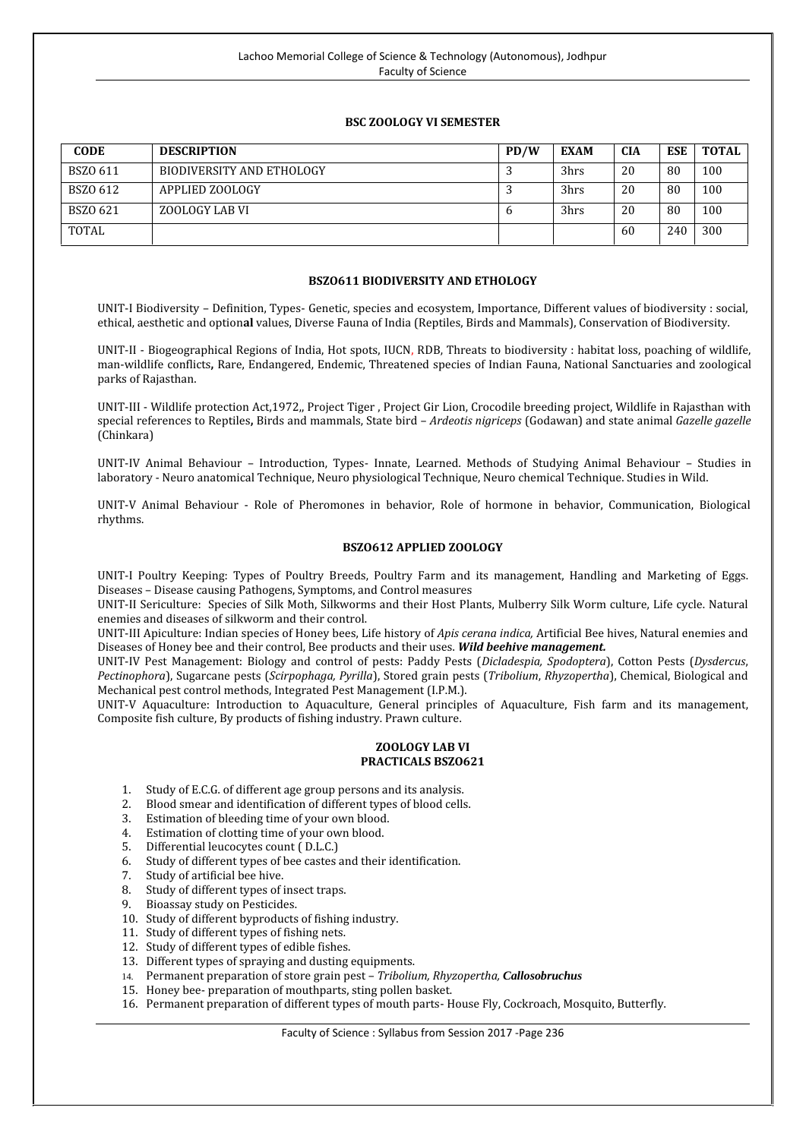# **BSC ZOOLOGY VI SEMESTER**

| <b>CODE</b>  | <b>DESCRIPTION</b>               | PD/W | <b>EXAM</b> | <b>CIA</b> | <b>ESE</b> | <b>TOTAL</b> |
|--------------|----------------------------------|------|-------------|------------|------------|--------------|
| BSZO 611     | <b>BIODIVERSITY AND ETHOLOGY</b> |      | 3hrs        | 20         | 80         | 100          |
| BSZO 612     | APPLIED ZOOLOGY                  | . .  | 3hrs        | 20         | -80        | 100          |
| BSZO 621     | ZOOLOGY LAB VI                   | o    | 3hrs        | 20         | 80         | 100          |
| <b>TOTAL</b> |                                  |      |             | 60         | 240        | 300          |

# **BSZO611 BIODIVERSITY AND ETHOLOGY**

UNIT-I Biodiversity – Definition, Types- Genetic, species and ecosystem, Importance, Different values of biodiversity : social, ethical, aesthetic and option**al** values, Diverse Fauna of India (Reptiles, Birds and Mammals), Conservation of Biodiversity.

UNIT-II - Biogeographical Regions of India, Hot spots, IUCN, RDB, Threats to biodiversity : habitat loss, poaching of wildlife, man-wildlife conflicts**,** Rare, Endangered, Endemic, Threatened species of Indian Fauna, National Sanctuaries and zoological parks of Rajasthan.

UNIT-III - Wildlife protection Act,1972,, Project Tiger , Project Gir Lion, Crocodile breeding project, Wildlife in Rajasthan with special references to Reptiles**,** Birds and mammals, State bird – *Ardeotis nigriceps* (Godawan) and state animal *Gazelle gazelle* (Chinkara)

UNIT-IV Animal Behaviour – Introduction, Types- Innate, Learned. Methods of Studying Animal Behaviour – Studies in laboratory - Neuro anatomical Technique, Neuro physiological Technique, Neuro chemical Technique. Studies in Wild.

UNIT-V Animal Behaviour - Role of Pheromones in behavior, Role of hormone in behavior, Communication, Biological rhythms.

#### **BSZO612 APPLIED ZOOLOGY**

UNIT-I Poultry Keeping: Types of Poultry Breeds, Poultry Farm and its management, Handling and Marketing of Eggs. Diseases – Disease causing Pathogens, Symptoms, and Control measures

UNIT-II Sericulture: Species of Silk Moth, Silkworms and their Host Plants, Mulberry Silk Worm culture, Life cycle. Natural enemies and diseases of silkworm and their control.

UNIT-III Apiculture: Indian species of Honey bees, Life history of *Apis cerana indica,* Artificial Bee hives, Natural enemies and Diseases of Honey bee and their control, Bee products and their uses. **Wild beehive management.**<br>UNIT-IV Pest Management: Biology and control of pests: Paddy Pests (*Dicladespia, Spodoptera*). Cotton Pests (*Dysdercus*,

Pectinophora). Sugarcane pests (Scirpophaga, Pyrilla). Stored grain pests (Tribolium, Rhyzopertha). Chemical, Biological and Mechanical pest control methods, Integrated Pest Management (I.P.M.).

UNIT-V Aquaculture: Introduction to Aquaculture, General principles of Aquaculture, Fish farm and its management, Composite fish culture, By products of fishing industry. Prawn culture.

# **ZOOLOGY LAB VI PRACTICALS BSZO621**

- 1. Study of E.C.G. of different age group persons and its analysis.<br>2. Blood smear and identification of different types of blood cells
- 2. Blood smear and identification of different types of blood cells.<br>3. Estimation of bleeding time of your own blood.
- Estimation of bleeding time of your own blood.
- 4. Estimation of clotting time of your own blood.<br>5. Differential leucocytes count (D.L.C.)
- 5. Differential leucocytes count (D.L.C.)<br>6. Study of different types of bee castes
- 6. Study of different types of bee castes and their identification.<br>7. Study of artificial bee hive.
- Study of artificial bee hive.
- 8. Study of different types of insect traps.<br>9. Bioassay study on Pesticides.
- Bioassay study on Pesticides.
- 10. Study of different byproducts of fishing industry.
- 11. Study of different types of fishing nets.
- 12. Study of different types of edible fishes.
- 13. Different types of spraying and dusting equipments.
- 14. Permanent preparation of store grain pest *Tribolium, Rhyzopertha, Callosobruchus*
- 15. Honey bee- preparation of mouthparts, sting pollen basket.
- 16. Permanent preparation of different types of mouth parts- House Fly, Cockroach, Mosquito, Butterfly.